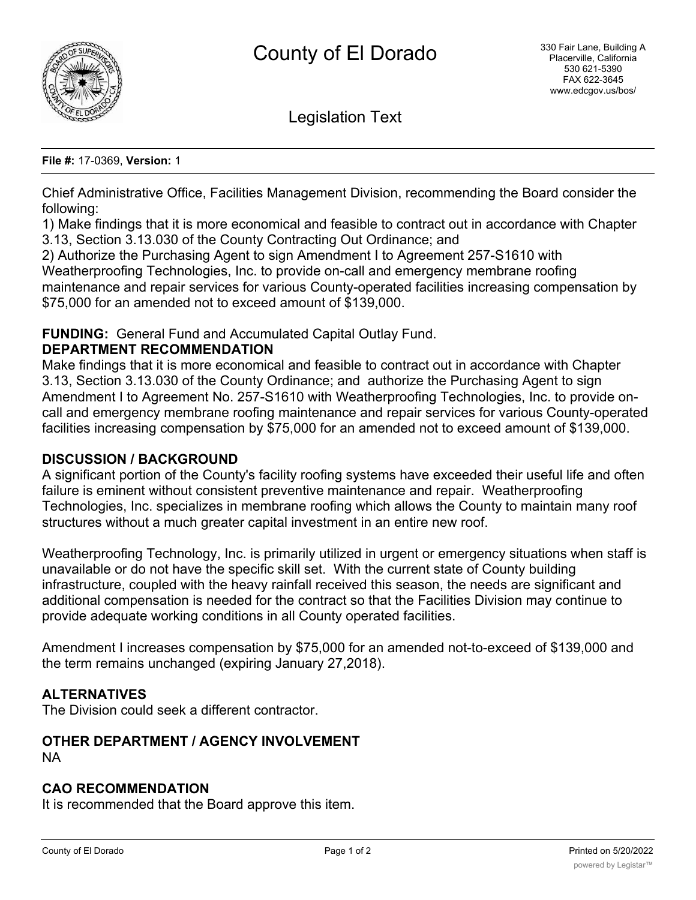

Legislation Text

#### **File #:** 17-0369, **Version:** 1

Chief Administrative Office, Facilities Management Division, recommending the Board consider the following:

1) Make findings that it is more economical and feasible to contract out in accordance with Chapter 3.13, Section 3.13.030 of the County Contracting Out Ordinance; and

2) Authorize the Purchasing Agent to sign Amendment I to Agreement 257-S1610 with Weatherproofing Technologies, Inc. to provide on-call and emergency membrane roofing maintenance and repair services for various County-operated facilities increasing compensation by \$75,000 for an amended not to exceed amount of \$139,000.

## **FUNDING:** General Fund and Accumulated Capital Outlay Fund.

### **DEPARTMENT RECOMMENDATION**

Make findings that it is more economical and feasible to contract out in accordance with Chapter 3.13, Section 3.13.030 of the County Ordinance; and authorize the Purchasing Agent to sign Amendment I to Agreement No. 257-S1610 with Weatherproofing Technologies, Inc. to provide oncall and emergency membrane roofing maintenance and repair services for various County-operated facilities increasing compensation by \$75,000 for an amended not to exceed amount of \$139,000.

### **DISCUSSION / BACKGROUND**

A significant portion of the County's facility roofing systems have exceeded their useful life and often failure is eminent without consistent preventive maintenance and repair. Weatherproofing Technologies, Inc. specializes in membrane roofing which allows the County to maintain many roof structures without a much greater capital investment in an entire new roof.

Weatherproofing Technology, Inc. is primarily utilized in urgent or emergency situations when staff is unavailable or do not have the specific skill set. With the current state of County building infrastructure, coupled with the heavy rainfall received this season, the needs are significant and additional compensation is needed for the contract so that the Facilities Division may continue to provide adequate working conditions in all County operated facilities.

Amendment I increases compensation by \$75,000 for an amended not-to-exceed of \$139,000 and the term remains unchanged (expiring January 27,2018).

## **ALTERNATIVES**

The Division could seek a different contractor.

### **OTHER DEPARTMENT / AGENCY INVOLVEMENT** NA

### **CAO RECOMMENDATION**

It is recommended that the Board approve this item.